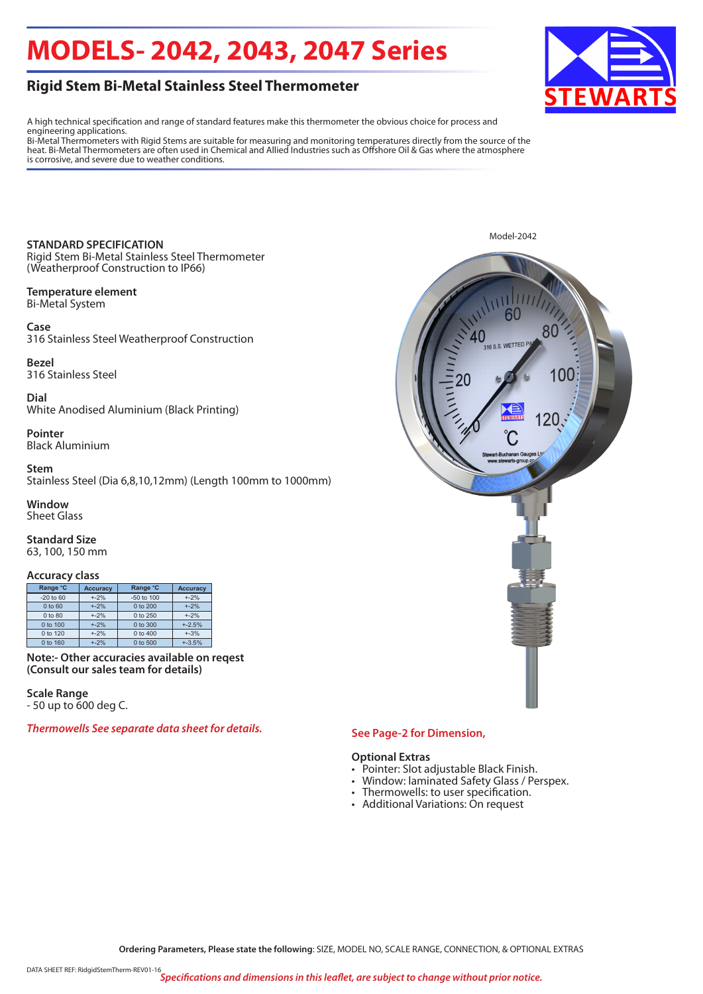## **MODELS- 2042, 2043, 2047 Series**

### **Rigid Stem Bi-Metal Stainless Steel Thermometer**

A high technical specification and range of standard features make this thermometer the obvious choice for process and engineering applications.

Bi-Metal Thermometers with Rigid Stems are suitable for measuring and monitoring temperatures directly from the source of the heat. Bi-Metal Thermometers are often used in Chemical and Allied Industries such as Offshore Oil & Gas where the atmosphere is corrosive, and severe due to weather conditions.

**STANDARD SPECIFICATION** Rigid Stem Bi-Metal Stainless Steel Thermometer (Weatherproof Construction to IP66)

#### **Temperature element**  Bi-Metal System

**Case** 316 Stainless Steel Weatherproof Construction

**Bezel** 316 Stainless Steel

**Dial** White Anodised Aluminium (Black Printing)

**Pointer** Black Aluminium

#### **Stem**

Stainless Steel (Dia 6,8,10,12mm) (Length 100mm to 1000mm)

## **Window**

Sheet Glass

**Standard Size**  63, 100, 150 mm

#### **Accuracy class**

| Range °C      | <b>Accuracy</b> | Range °C            | <b>Accuracy</b> |  |
|---------------|-----------------|---------------------|-----------------|--|
| $-20$ to $60$ | $+ -2%$         | -50 to 100          | $+ -2%$         |  |
| 0 to 60       | $+ -2%$         | 0 to 200            | $+ -2%$         |  |
| 0 to 80       | $+ -2%$         | 0 to 250            | $+ -2%$         |  |
| $0$ to $100$  | $+ -2%$         | $0 \text{ to } 300$ | $+2.5%$         |  |
| $0$ to 120    | $+ -2%$         | $0 \text{ to } 400$ | $+.3%$          |  |
| 0 to 160      | $+ -2%$         | 0 to 500            | $+3.5%$         |  |

**Note:- Other accuracies available on reqest (Consult our sales team for details)**

**Scale Range** - 50 up to 600 deg C.

*Thermowells See separate data sheet for details.*



#### **See Page-2 for Dimension,**

#### **Optional Extras**

- Pointer: Slot adjustable Black Finish.
- Window: laminated Safety Glass / Perspex.
- Thermowells: to user specification.
- Additional Variations: On request



**Ordering Parameters, Please state the following**: SIZE, MODEL NO, SCALE RANGE, CONNECTION, & OPTIONAL EXTRAS